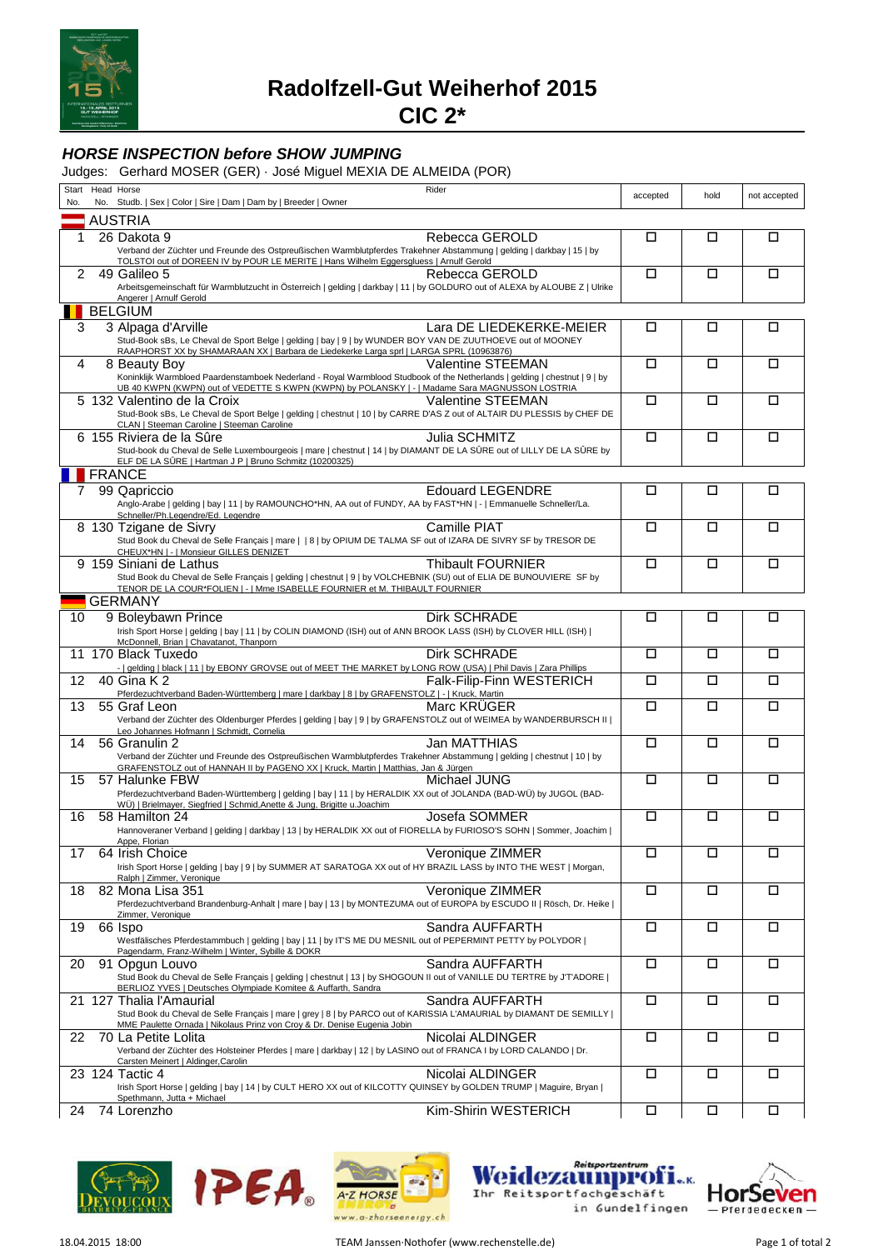

**Radolfzell-Gut Weiherhof 2015**

**CIC 2\***

## **HORSE INSPECTION before SHOW JUMPING**

Judges: Gerhard MOSER (GER) · José Miguel MEXIA DE ALMEIDA (POR)

| No.            | Start Head Horse<br>Rider<br>No. Studb.   Sex   Color   Sire   Dam   Dam by   Breeder   Owner                                                                                                                                                           | accepted | hold   | not accepted |
|----------------|---------------------------------------------------------------------------------------------------------------------------------------------------------------------------------------------------------------------------------------------------------|----------|--------|--------------|
|                |                                                                                                                                                                                                                                                         |          |        |              |
| 1              | <b>AUSTRIA</b>                                                                                                                                                                                                                                          | □        | □      | □            |
|                | 26 Dakota 9<br>Rebecca GEROLD<br>Verband der Züchter und Freunde des Ostpreußischen Warmblutpferdes Trakehner Abstammung   gelding   darkbay   15   by<br>TOLSTOI out of DOREEN IV by POUR LE MERITE   Hans Wilhelm Eggersgluess   Arnulf Gerold        |          |        |              |
| $\overline{2}$ | Rebecca GEROLD<br>49 Galileo 5                                                                                                                                                                                                                          | □        | □      | П            |
|                | Arbeitsgemeinschaft für Warmblutzucht in Österreich   gelding   darkbay   11   by GOLDURO out of ALEXA by ALOUBE Z   Ulrike                                                                                                                             |          |        |              |
|                | Angerer   Arnulf Gerold                                                                                                                                                                                                                                 |          |        |              |
|                | <b>BELGIUM</b>                                                                                                                                                                                                                                          |          |        |              |
| 3              | 3 Alpaga d'Arville<br>Lara DE LIEDEKERKE-MEIER<br>Stud-Book sBs, Le Cheval de Sport Belge   gelding   bay   9   by WUNDER BOY VAN DE ZUUTHOEVE out of MOONEY<br>RAAPHORST XX by SHAMARAAN XX   Barbara de Liedekerke Larga sprl   LARGA SPRL (10963876) | □        | □      | □            |
| 4              | <b>Valentine STEEMAN</b><br>8 Beauty Boy                                                                                                                                                                                                                | $\Box$   | □      | □            |
|                | Koninklijk Warmbloed Paardenstamboek Nederland - Royal Warmblood Studbook of the Netherlands   gelding   chestnut   9   by                                                                                                                              |          |        |              |
|                | UB 40 KWPN (KWPN) out of VEDETTE S KWPN (KWPN) by POLANSKY   -   Madame Sara MAGNUSSON LOSTRIA                                                                                                                                                          | □        | □      | □            |
|                | 5 132 Valentino de la Croix<br><b>Valentine STEEMAN</b><br>Stud-Book sBs, Le Cheval de Sport Belge   gelding   chestnut   10   by CARRE D'AS Z out of ALTAIR DU PLESSIS by CHEF DE                                                                      |          |        |              |
|                | CLAN   Steeman Caroline   Steeman Caroline                                                                                                                                                                                                              |          |        |              |
|                | Julia SCHMITZ<br>6 155 Riviera de la Sûre                                                                                                                                                                                                               | □        | □      | □            |
|                | Stud-book du Cheval de Selle Luxembourgeois   mare   chestnut   14   by DIAMANT DE LA SÛRE out of LILLY DE LA SÛRE by<br>ELF DE LA SÛRE   Hartman J P   Bruno Schmitz (10200325)                                                                        |          |        |              |
|                | <b>FRANCE</b>                                                                                                                                                                                                                                           |          |        |              |
| $7\phantom{.}$ | <b>Edouard LEGENDRE</b><br>99 Qapriccio                                                                                                                                                                                                                 | □        | □      | □            |
|                | Anglo-Arabe   gelding   bay   11   by RAMOUNCHO*HN, AA out of FUNDY, AA by FAST*HN   -   Emmanuelle Schneller/La.                                                                                                                                       |          |        |              |
|                | Schneller/Ph.Legendre/Ed. Legendre                                                                                                                                                                                                                      |          |        |              |
|                | Camille PIAT<br>8 130 Tzigane de Sivry                                                                                                                                                                                                                  | □        | □      | □            |
|                | Stud Book du Cheval de Selle Français   mare     8   by OPIUM DE TALMA SF out of IZARA DE SIVRY SF by TRESOR DE<br>CHEUX*HN   -   Monsieur GILLES DENIZET                                                                                               |          |        |              |
|                | Thibault FOURNIER<br>9 159 Siniani de Lathus                                                                                                                                                                                                            | □        | П      | $\Box$       |
|                | Stud Book du Cheval de Selle Français   gelding   chestnut   9   by VOLCHEBNIK (SU) out of ELIA DE BUNOUVIERE SF by                                                                                                                                     |          |        |              |
|                | TENOR DE LA COUR*FOLIEN   -   Mme ISABELLE FOURNIER et M. THIBAULT FOURNIER                                                                                                                                                                             |          |        |              |
|                | <b>GERMANY</b>                                                                                                                                                                                                                                          |          |        |              |
| 10             | 9 Boleybawn Prince<br>Dirk SCHRADE                                                                                                                                                                                                                      | П        | П      | □            |
|                | Irish Sport Horse   gelding   bay   11   by COLIN DIAMOND (ISH) out of ANN BROOK LASS (ISH) by CLOVER HILL (ISH)  <br>McDonnell, Brian   Chavatanot, Thanporn                                                                                           |          |        |              |
|                | Dirk SCHRADE<br>11 170 Black Tuxedo                                                                                                                                                                                                                     | □        | □      | □            |
|                | -   gelding   black   11   by EBONY GROVSE out of MEET THE MARKET by LONG ROW (USA)   Phil Davis   Zara Phillips                                                                                                                                        |          |        |              |
| 12             | 40 Gina K 2<br>Falk-Filip-Finn WESTERICH                                                                                                                                                                                                                | П        | П      | П            |
| 13             | Pferdezuchtverband Baden-Württemberg   mare   darkbay   8   by GRAFENSTOLZ   -   Kruck, Martin<br>55 Graf Leon<br>Marc KRUGER                                                                                                                           | $\Box$   | Π      | $\Box$       |
|                | Verband der Züchter des Oldenburger Pferdes   gelding   bay   9   by GRAFENSTOLZ out of WEIMEA by WANDERBURSCH II                                                                                                                                       |          |        |              |
|                | Leo Johannes Hofmann   Schmidt, Cornelia                                                                                                                                                                                                                |          |        |              |
| 14             | Jan MATTHIAS<br>56 Granulin 2                                                                                                                                                                                                                           | □        | □      | □            |
|                | Verband der Züchter und Freunde des Ostpreußischen Warmblutpferdes Trakehner Abstammung   gelding   chestnut   10   by<br>GRAFENSTOLZ out of HANNAH II by PAGENO XX   Kruck, Martin   Matthias, Jan & Jürgen                                            |          |        |              |
| 15             | 57 Halunke FBW<br>Michael JUNG                                                                                                                                                                                                                          | □        | □      | □            |
|                | Pferdezuchtverband Baden-Württemberg   gelding   bay   11   by HERALDIK XX out of JOLANDA (BAD-WÜ) by JUGOL (BAD-                                                                                                                                       |          |        |              |
| 16             | WÜ)   Brielmayer, Siegfried   Schmid, Anette & Jung, Brigitte u.Joachim<br>58 Hamilton 24<br>Josefa SOMMER                                                                                                                                              | □        | □      | □            |
|                | Hannoveraner Verband   gelding   darkbay   13   by HERALDIK XX out of FIORELLA by FURIOSO'S SOHN   Sommer, Joachim                                                                                                                                      |          |        |              |
|                |                                                                                                                                                                                                                                                         |          |        |              |
| 17             | Veronique ZIMMER<br>64 Irish Choice                                                                                                                                                                                                                     | $\Box$   | □      | □            |
|                | Irish Sport Horse   gelding   bay   9   by SUMMER AT SARATOGA XX out of HY BRAZIL LASS by INTO THE WEST   Morgan,<br>Ralph   Zimmer, Veronique                                                                                                          |          |        |              |
| 18             | Veronique ZIMMER<br>82 Mona Lisa 351                                                                                                                                                                                                                    | $\Box$   | $\Box$ | $\Box$       |
|                | Pferdezuchtverband Brandenburg-Anhalt   mare   bay   13   by MONTEZUMA out of EUROPA by ESCUDO II   Rösch, Dr. Heike                                                                                                                                    |          |        |              |
| 19             | Zimmer, Veronique                                                                                                                                                                                                                                       | $\Box$   | $\Box$ | $\Box$       |
|                | 66 Ispo<br>Sandra AUFFARTH<br>Westfälisches Pferdestammbuch   gelding   bay   11   by IT'S ME DU MESNIL out of PEPERMINT PETTY by POLYDOR                                                                                                               |          |        |              |
|                | Pagendarm, Franz-Wilhelm   Winter, Sybille & DOKR                                                                                                                                                                                                       |          |        |              |
| 20             | Sandra AUFFARTH<br>91 Opgun Louvo                                                                                                                                                                                                                       | $\Box$   | □      | □            |
|                | Stud Book du Cheval de Selle Français   gelding   chestnut   13   by SHOGOUN II out of VANILLE DU TERTRE by J'T'ADORE  <br>BERLIOZ YVES   Deutsches Olympiade Komitee & Auffarth, Sandra                                                                |          |        |              |
|                | Sandra AUFFARTH<br>21 127 Thalia l'Amaurial                                                                                                                                                                                                             | $\Box$   | $\Box$ | $\Box$       |
|                | Stud Book du Cheval de Selle Français   mare   grey   8   by PARCO out of KARISSIA L'AMAURIAL by DIAMANT DE SEMILLY                                                                                                                                     |          |        |              |
|                | MME Paulette Ornada   Nikolaus Prinz von Croy & Dr. Denise Eugenia Jobin                                                                                                                                                                                |          |        |              |
| 22             | Nicolai ALDINGER<br>70 La Petite Lolita                                                                                                                                                                                                                 | $\Box$   | $\Box$ | $\Box$       |
|                | Verband der Züchter des Holsteiner Pferdes   mare   darkbay   12   by LASINO out of FRANCA I by LORD CALANDO   Dr.<br>Carsten Meinert   Aldinger, Carolin                                                                                               |          |        |              |
|                | Nicolai ALDINGER<br>23 124 Tactic 4                                                                                                                                                                                                                     | □        | □      | □            |
|                | Irish Sport Horse   gelding   bay   14   by CULT HERO XX out of KILCOTTY QUINSEY by GOLDEN TRUMP   Maguire, Bryan                                                                                                                                       |          |        |              |
| 24             | Spethmann, Jutta + Michael<br>Kim-Shirin WESTERICH<br>74 Lorenzho                                                                                                                                                                                       | $\Box$   | $\Box$ | □            |
|                |                                                                                                                                                                                                                                                         |          |        |              |